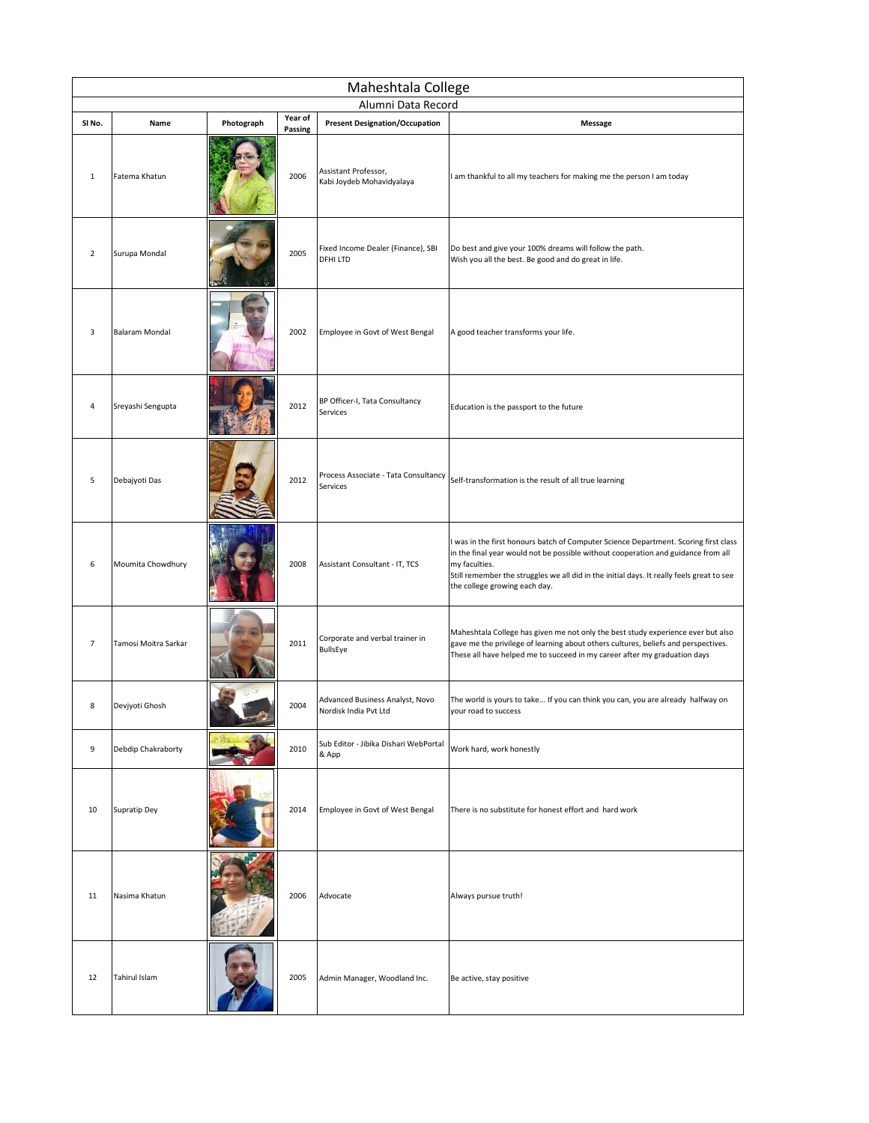| Maheshtala College<br>Alumni Data Record |                       |            |         |                                                          |                                                                                                                                                                                                                                                                                                                          |  |  |
|------------------------------------------|-----------------------|------------|---------|----------------------------------------------------------|--------------------------------------------------------------------------------------------------------------------------------------------------------------------------------------------------------------------------------------------------------------------------------------------------------------------------|--|--|
| SI No.                                   | Name                  | Photograph | Year of |                                                          |                                                                                                                                                                                                                                                                                                                          |  |  |
|                                          |                       |            | Passing | <b>Present Designation/Occupation</b>                    | Message                                                                                                                                                                                                                                                                                                                  |  |  |
| $\mathbf{1}$                             | Fatema Khatun         |            | 2006    | Assistant Professor,<br>Kabi Joydeb Mohavidyalaya        | I am thankful to all my teachers for making me the person I am today                                                                                                                                                                                                                                                     |  |  |
| $\overline{2}$                           | Surupa Mondal         |            | 2005    | Fixed Income Dealer (Finance), SBI<br>DFHI LTD           | Do best and give your 100% dreams will follow the path.<br>Wish you all the best. Be good and do great in life.                                                                                                                                                                                                          |  |  |
| 3                                        | <b>Balaram Mondal</b> |            | 2002    | Employee in Govt of West Bengal                          | A good teacher transforms your life.                                                                                                                                                                                                                                                                                     |  |  |
| 4                                        | Sreyashi Sengupta     |            | 2012    | BP Officer-I, Tata Consultancy<br>Services               | Education is the passport to the future                                                                                                                                                                                                                                                                                  |  |  |
| 5                                        | Debajyoti Das         |            | 2012    | Process Associate - Tata Consultancy<br>Services         | Self-transformation is the result of all true learning                                                                                                                                                                                                                                                                   |  |  |
| 6                                        | Moumita Chowdhury     |            | 2008    | Assistant Consultant - IT, TCS                           | I was in the first honours batch of Computer Science Department. Scoring first class<br>in the final year would not be possible without cooperation and guidance from all<br>my faculties.<br>Still remember the struggles we all did in the initial days. It really feels great to see<br>the college growing each day. |  |  |
| $\overline{7}$                           | Tamosi Moitra Sarkar  |            | 2011    | Corporate and verbal trainer in<br>BullsEye              | Maheshtala College has given me not only the best study experience ever but also<br>gave me the privilege of learning about others cultures, beliefs and perspectives.<br>These all have helped me to succeed in my career after my graduation days                                                                      |  |  |
| 8                                        | Devjyoti Ghosh        |            | 2004    | Advanced Business Analyst, Novo<br>Nordisk India Pvt Ltd | The world is yours to take If you can think you can, you are already halfway on<br>your road to success                                                                                                                                                                                                                  |  |  |
| 9                                        | Debdip Chakraborty    |            | 2010    | Sub Editor - Jibika Dishari WebPortal<br>& App           | Work hard, work honestly                                                                                                                                                                                                                                                                                                 |  |  |
| 10                                       | <b>Supratip Dey</b>   |            | 2014    | Employee in Govt of West Bengal                          | There is no substitute for honest effort and hard work                                                                                                                                                                                                                                                                   |  |  |
| 11                                       | Nasima Khatun         |            | 2006    | Advocate                                                 | Always pursue truth!                                                                                                                                                                                                                                                                                                     |  |  |
| 12                                       | Tahirul Islam         |            | 2005    | Admin Manager, Woodland Inc.                             | Be active, stay positive                                                                                                                                                                                                                                                                                                 |  |  |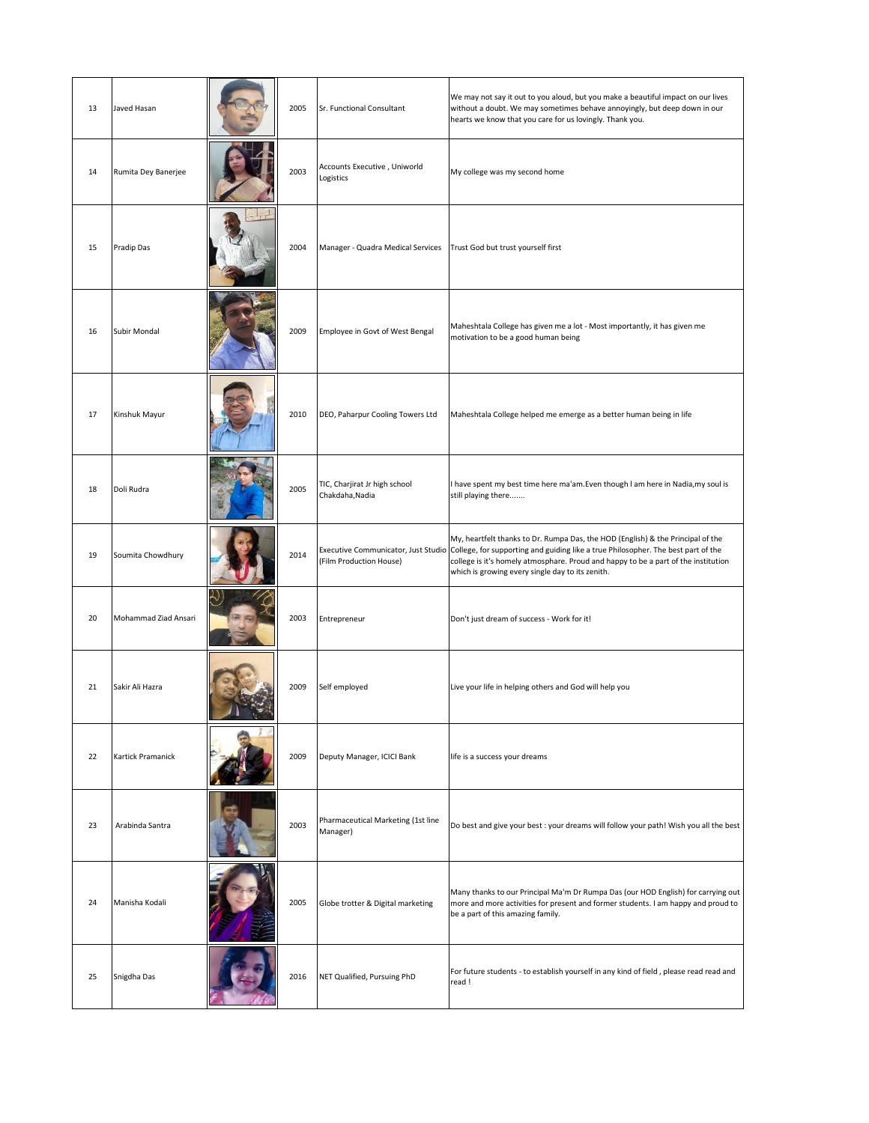| 13 | Javed Hasan          | 2005 | Sr. Functional Consultant                        | We may not say it out to you aloud, but you make a beautiful impact on our lives<br>without a doubt. We may sometimes behave annoyingly, but deep down in our<br>hearts we know that you care for us lovingly. Thank you.                                                                                                                          |
|----|----------------------|------|--------------------------------------------------|----------------------------------------------------------------------------------------------------------------------------------------------------------------------------------------------------------------------------------------------------------------------------------------------------------------------------------------------------|
| 14 | Rumita Dey Banerjee  | 2003 | Accounts Executive, Uniworld<br>Logistics        | My college was my second home                                                                                                                                                                                                                                                                                                                      |
| 15 | Pradip Das           | 2004 | Manager - Quadra Medical Services                | Trust God but trust yourself first                                                                                                                                                                                                                                                                                                                 |
| 16 | Subir Mondal         | 2009 | Employee in Govt of West Bengal                  | Maheshtala College has given me a lot - Most importantly, it has given me<br>motivation to be a good human being                                                                                                                                                                                                                                   |
| 17 | Kinshuk Mayur        | 2010 | DEO, Paharpur Cooling Towers Ltd                 | Maheshtala College helped me emerge as a better human being in life                                                                                                                                                                                                                                                                                |
| 18 | Doli Rudra           | 2005 | TIC, Charjirat Jr high school<br>Chakdaha, Nadia | I have spent my best time here ma'am. Even though I am here in Nadia, my soul is<br>still playing there                                                                                                                                                                                                                                            |
| 19 | Soumita Chowdhury    | 2014 | (Film Production House)                          | My, heartfelt thanks to Dr. Rumpa Das, the HOD (English) & the Principal of the<br>Executive Communicator, Just Studio College, for supporting and guiding like a true Philosopher. The best part of the<br>college is it's homely atmosphare. Proud and happy to be a part of the institution<br>which is growing every single day to its zenith. |
| 20 | Mohammad Ziad Ansari | 2003 | Entrepreneur                                     | Don't just dream of success - Work for it!                                                                                                                                                                                                                                                                                                         |
| 21 | Sakir Ali Hazra      | 2009 | Self employed                                    | Live your life in helping others and God will help you                                                                                                                                                                                                                                                                                             |
| 22 | Kartick Pramanick    | 2009 | Deputy Manager, ICICI Bank                       | life is a success your dreams                                                                                                                                                                                                                                                                                                                      |
| 23 | Arabinda Santra      | 2003 | Pharmaceutical Marketing (1st line<br>Manager)   | Do best and give your best : your dreams will follow your path! Wish you all the best                                                                                                                                                                                                                                                              |
| 24 | Manisha Kodali       | 2005 | Globe trotter & Digital marketing                | Many thanks to our Principal Ma'm Dr Rumpa Das (our HOD English) for carrying out<br>more and more activities for present and former students. I am happy and proud to<br>be a part of this amazing family.                                                                                                                                        |
| 25 | Snigdha Das          | 2016 | NET Qualified, Pursuing PhD                      | For future students - to establish yourself in any kind of field, please read read and<br>read!                                                                                                                                                                                                                                                    |